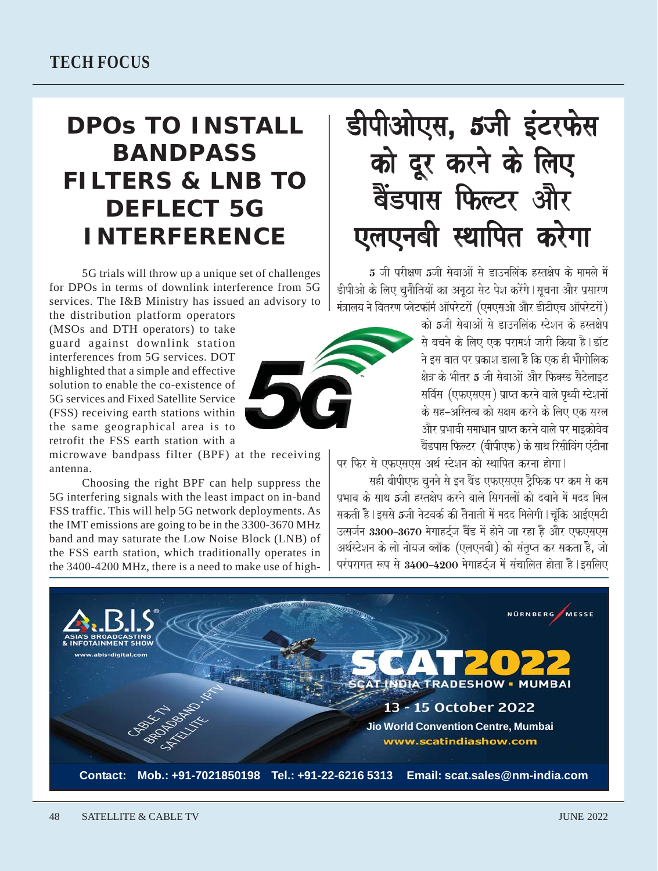## guard against downlink station

**TECH FOCUS** 

interferences from 5G services. DOT highlighted that a simple and effective solution to enable the co-existence of 5G services and Fixed Satellite Service (FSS) receiving earth stations within the same geographical area is to retrofit the FSS earth station with a

the distribution platform operators

(MSOs and DTH operators) to take

microwave bandpass filter (BPF) at the receiving antenna.

**BANDPASS** 

**DEFLECT 5G** 

**INTERFERENCE** 

services. The I&B Ministry has issued an advisory to

5G trials will throw up a unique set of challenges for DPOs in terms of downlink interference from 5G

Choosing the right BPF can help suppress the 5G interfering signals with the least impact on in-band FSS traffic. This will help 5G network deployments. As the IMT emissions are going to be in the 3300-3670 MHz band and may saturate the Low Noise Block (LNB) of the FSS earth station, which traditionally operates in the 3400-4200 MHz, there is a need to make use of high-

## 48 **SATELLITE & CABLE TV**

```
डीपीओएस, 5जी इंटरफेस
DPOS TO INSTALL
                        को दूर करने के लिए
FILTERS & LNB TO
                        बैंडपास फिल्टर और
                       एलएनबी स्थापित करेगा
```
5 जी परीक्षण 5जी सेवाओं से डाउनलिंक हस्तक्षेप के मामले में डीपीओ के लिए चनौतियों का अनठा सेट पेश करेंगे | सचना और प्रसारण .<br>मंत्रालय ने वितरण प्लेटफॉर्म ऑपरेटरों (एमएसओ और डीटीएच ऑपरेटरों)

को 5जी सेवाओं से डाउनलिंक स्टेशन के हस्तक्षेप .<br>से बचने के लिए एक परामर्श जारी किया है। डॉट ने इस बात पर प्रकाश डाला है कि एक ही भौगोलिक क्षेत्र के भीतर 5 जी सेवाओं और फिक्स्ट सैटेलाइट सर्विस (एफएसएस) प्राप्त करने वाले पृथ्वी स्टेशनों के सह–अस्तित्व को सक्षम करने के लिए एक सरल <u>और पभावी समाधान पाप्त करने वाले पर माडकोवेव</u> बैंडपास फिल्टर (बीपीएफ) के साथ रिसीविंग एंटीना

पर फिर से एफएसएस अर्थ स्टेशन को स्थापित करना होगा।

सही बीपीएफ चनने से इन बैंड एफएसएस ट्रैफिक पर कम से कम प्रभाव के साथ 5जी हस्तक्षेप करने वाले सिगनलों को दबाने में मदद मिल सकती है।इससे 5जी नेटवर्क की तैनाती में मदद मिलेगी।चंकि आईएमटी उत्सर्जन 3300-3670 मेगाहर्टज बैंड में होने जा रहा है और एफएसएस अर्थस्टेशन के लो नोयज ब्लॉक (एलएनबी) को संतुप्त कर सकता है, जो परंपरागत रूप से 3400-4200 मेगाहर्टज में संचालित होता है।इसलिए